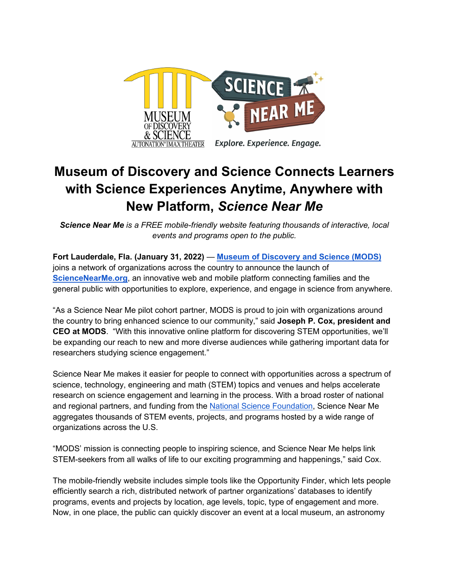

## **Museum of Discovery and Science Connects Learners with Science Experiences Anytime, Anywhere with New Platform,** *Science Near Me*

*Science Near Me is a FREE mobile-friendly website featuring thousands of interactive, local events and programs open to the public.* 

**Fort Lauderdale, Fla. (January 31, 2022)** — **[Museum of Discovery and Science \(MODS\)](http://mods.org/)** joins a network of organizations across the country to announce the launch of **[ScienceNearMe.org](http://sciencenearme.org/)**, an innovative web and mobile platform connecting families and the general public with opportunities to explore, experience, and engage in science from anywhere.

"As a Science Near Me pilot cohort partner, MODS is proud to join with organizations around the country to bring enhanced science to our community," said **Joseph P. Cox, president and CEO at MODS**. "With this innovative online platform for discovering STEM opportunities, we'll be expanding our reach to new and more diverse audiences while gathering important data for researchers studying science engagement."

Science Near Me makes it easier for people to connect with opportunities across a spectrum of science, technology, engineering and math (STEM) topics and venues and helps accelerate research on science engagement and learning in the process. With a broad roster of national and regional partners, and funding from the [National Science Foundation,](https://www.nsf.gov/) Science Near Me aggregates thousands of STEM events, projects, and programs hosted by a wide range of organizations across the U.S.

"MODS' mission is connecting people to inspiring science, and Science Near Me helps link STEM-seekers from all walks of life to our exciting programming and happenings," said Cox.

The mobile-friendly website includes simple tools like the Opportunity Finder, which lets people efficiently search a rich, distributed network of partner organizations' databases to identify programs, events and projects by location, age levels, topic, type of engagement and more. Now, in one place, the public can quickly discover an event at a local museum, an astronomy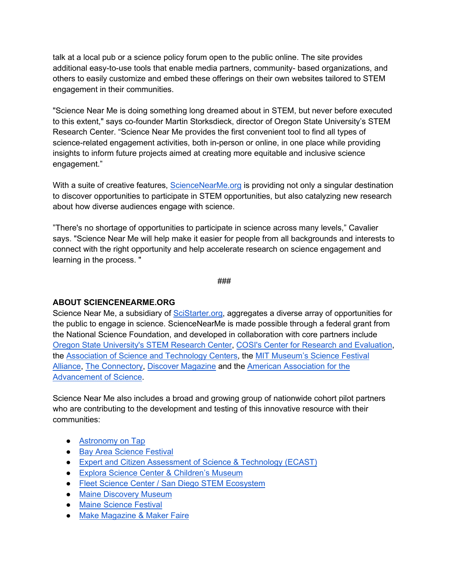talk at a local pub or a science policy forum open to the public online. The site provides additional easy-to-use tools that enable media partners, community- based organizations, and others to easily customize and embed these offerings on their own websites tailored to STEM engagement in their communities.

"Science Near Me is doing something long dreamed about in STEM, but never before executed to this extent," says co-founder Martin Storksdieck, director of Oregon State University's STEM Research Center. "Science Near Me provides the first convenient tool to find all types of science-related engagement activities, both in-person or online, in one place while providing insights to inform future projects aimed at creating more equitable and inclusive science engagement."

With a suite of creative features, [ScienceNearMe.org](http://sciencenearme.org/) is providing not only a singular destination to discover opportunities to participate in STEM opportunities, but also catalyzing new research about how diverse audiences engage with science.

"There's no shortage of opportunities to participate in science across many levels," Cavalier says. "Science Near Me will help make it easier for people from all backgrounds and interests to connect with the right opportunity and help accelerate research on science engagement and learning in the process. "

###

## **ABOUT SCIENCENEARME.ORG**

Science Near Me, a subsidiary of [SciStarter.org,](https://scistarter.org/) aggregates a diverse array of opportunities for the public to engage in science. ScienceNearMe is made possible through a federal grant from the National Science Foundation, and developed in collaboration with core partners include [Oregon State University's STEM Research Center,](https://stem.oregonstate.edu/) [COSI's Center for Research and Evaluation,](https://cosi.org/) the [Association of Science and Technology Centers,](https://www.astc.org/) the [MIT Museum's Science Festival](https://www.sciencefestivals.org/home)  [Alliance,](https://www.sciencefestivals.org/home) [The Connectory,](https://theconnectory.org/) [Discover Magazine](http://discovermagazine.com/) and the [American Association for the](https://www.aaas.org/)  [Advancement of Science.](https://www.aaas.org/)

Science Near Me also includes a broad and growing group of nationwide cohort pilot partners who are contributing to the development and testing of this innovative resource with their communities:

- [Astronomy on Tap](https://astronomyontap.org/)
- [Bay Area Science Festival](https://www.bayareasciencefestival.org/)
- [Expert and Citizen Assessment of Science & Technology \(ECAST\)](https://ecastnetwork.org/)
- [Explora Science Center & Children's Museum](https://www.explora.us/)
- [Fleet Science Center](https://www.fleetscience.org/) / [San Diego STEM Ecosystem](https://stemecosystems.org/ecosystem/san-diego-ecosystem/)
- [Maine Discovery Museum](https://www.mainediscoverymuseum.org/)
- [Maine Science Festival](https://www.mainesciencefestival.org/)
- [Make Magazine & Maker Faire](https://make.co/)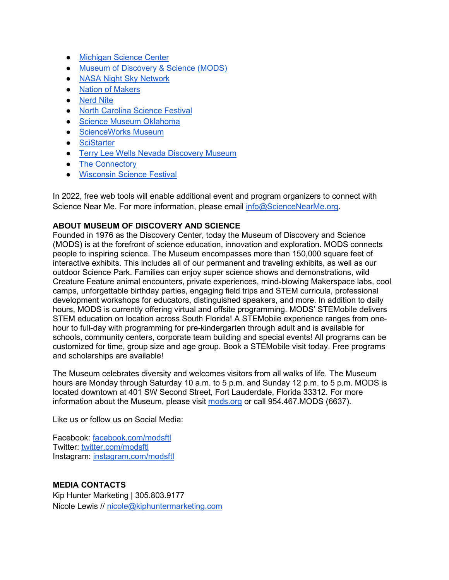- [Michigan Science Center](https://www.mi-sci.org/)
- [Museum of Discovery & Science \(MODS\)](http://mods.org/)
- [NASA Night Sky Network](https://nightsky.jpl.nasa.gov/)
- [Nation of Makers](https://www.nationofmakers.us/)
- [Nerd Nite](https://nerdnite.com/)
- [North Carolina Science Festival](https://ncsciencefestival.org/)
- [Science Museum Oklahoma](https://www.sciencemuseumok.org/)
- [ScienceWorks Museum](https://scienceworksmuseum.org/)
- [SciStarter](https://scistarter.org/)
- **[Terry Lee Wells Nevada Discovery Museum](https://nvdm.org/)**
- [The Connectory](https://theconnectory.org/)
- [Wisconsin Science Festival](https://www.wisconsinsciencefest.org/)

In 2022, free web tools will enable additional event and program organizers to connect with Science Near Me. For more information, please email [info@ScienceNearMe.org.](mailto:info@ScienceNearMe.org)

## **ABOUT MUSEUM OF DISCOVERY AND SCIENCE**

Founded in 1976 as the Discovery Center, today the Museum of Discovery and Science (MODS) is at the forefront of science education, innovation and exploration. MODS connects people to inspiring science. The Museum encompasses more than 150,000 square feet of interactive exhibits. This includes all of our permanent and traveling exhibits, as well as our outdoor Science Park. Families can enjoy super science shows and demonstrations, wild Creature Feature animal encounters, private experiences, mind-blowing Makerspace labs, cool camps, unforgettable birthday parties, engaging field trips and STEM curricula, professional development workshops for educators, distinguished speakers, and more. In addition to daily hours, MODS is currently offering virtual and offsite programming. MODS' STEMobile delivers STEM education on location across South Florida! A STEMobile experience ranges from onehour to full-day with programming for pre-kindergarten through adult and is available for schools, community centers, corporate team building and special events! All programs can be customized for time, group size and age group. Book a STEMobile visit today. Free programs and scholarships are available!

The Museum celebrates diversity and welcomes visitors from all walks of life. The Museum hours are Monday through Saturday 10 a.m. to 5 p.m. and Sunday 12 p.m. to 5 p.m. MODS is located downtown at 401 SW Second Street, Fort Lauderdale, Florida 33312. For more information about the Museum, please visi[t](http://mods.org/) [mods.org](http://mods.org/) or call 954.467.MODS (6637).

Like us or follow us on Social Media:

Facebook: [facebook.com/modsftl](http://www.facebook.com/modsftl) Twitter[:](http://www.twitter.com/modsftl) [twitter.com/modsftl](http://www.twitter.com/modsftl) Instagram[:](http://www.instagram.com/modsftl) [instagram.com/modsftl](http://www.instagram.com/modsftl)

## **MEDIA CONTACTS**

Kip Hunter Marketing | 305.803.9177 Nicole Lewis // [nicole@kiphuntermarketing.com](mailto:nicole@kiphuntermarketing.com)